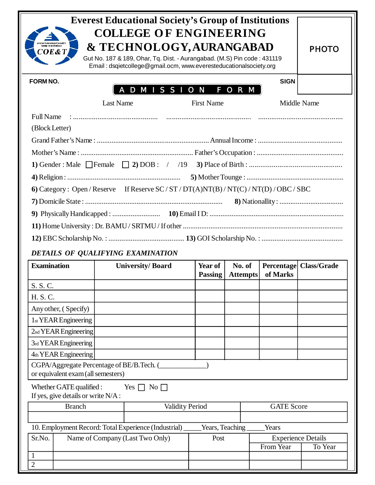| <b>Everest Educational Society's Group of Institutions</b><br><b>COLLEGE OF ENGINEERING</b><br>verest Educational Society's<br>& TECHNOLOGY, AURANGABAD<br>COE&T<br>Gut No. 187 & 189, Ohar, Tq. Dist. - Aurangabad. (M.S) Pin code: 431119<br>Email: dsqietcollege@gmail.ocm, www.everesteducationalsociety.org |                  |                                                      |                   |          |                   |                                      |  |  |
|------------------------------------------------------------------------------------------------------------------------------------------------------------------------------------------------------------------------------------------------------------------------------------------------------------------|------------------|------------------------------------------------------|-------------------|----------|-------------------|--------------------------------------|--|--|
| <b>FORM NO.</b>                                                                                                                                                                                                                                                                                                  |                  | A D M I S S I O N                                    |                   | F O R M  | <b>SIGN</b>       |                                      |  |  |
|                                                                                                                                                                                                                                                                                                                  | <b>Last Name</b> |                                                      | <b>First Name</b> |          |                   | Middle Name                          |  |  |
| <b>Full Name</b>                                                                                                                                                                                                                                                                                                 |                  |                                                      |                   |          |                   |                                      |  |  |
| (Block Letter)                                                                                                                                                                                                                                                                                                   |                  |                                                      |                   |          |                   |                                      |  |  |
|                                                                                                                                                                                                                                                                                                                  |                  |                                                      |                   |          |                   |                                      |  |  |
|                                                                                                                                                                                                                                                                                                                  |                  |                                                      |                   |          |                   |                                      |  |  |
|                                                                                                                                                                                                                                                                                                                  |                  |                                                      |                   |          |                   |                                      |  |  |
|                                                                                                                                                                                                                                                                                                                  |                  |                                                      |                   |          |                   |                                      |  |  |
| 6) Category: Open/Reserve If Reserve SC/ST/DT(A)NT(B)/NT(C)/NT(D)/OBC/SBC                                                                                                                                                                                                                                        |                  |                                                      |                   |          |                   |                                      |  |  |
|                                                                                                                                                                                                                                                                                                                  |                  |                                                      |                   |          |                   |                                      |  |  |
|                                                                                                                                                                                                                                                                                                                  |                  |                                                      |                   |          |                   |                                      |  |  |
|                                                                                                                                                                                                                                                                                                                  |                  |                                                      |                   |          |                   |                                      |  |  |
|                                                                                                                                                                                                                                                                                                                  |                  |                                                      |                   |          |                   |                                      |  |  |
|                                                                                                                                                                                                                                                                                                                  |                  | DETAILS OF QUALIFYING EXAMINATION                    |                   |          |                   |                                      |  |  |
| <b>Examination</b>                                                                                                                                                                                                                                                                                               |                  | <b>University/Board</b>                              | Year of           | No. of   | <b>Percentage</b> | <b>Class/Grade</b>                   |  |  |
|                                                                                                                                                                                                                                                                                                                  |                  |                                                      | <b>Passing</b>    | Attempts | of Marks          |                                      |  |  |
| S. S. C.                                                                                                                                                                                                                                                                                                         |                  |                                                      |                   |          |                   |                                      |  |  |
|                                                                                                                                                                                                                                                                                                                  |                  |                                                      |                   |          |                   |                                      |  |  |
| H. S. C.                                                                                                                                                                                                                                                                                                         |                  |                                                      |                   |          |                   |                                      |  |  |
| Any other, (Specify)                                                                                                                                                                                                                                                                                             |                  |                                                      |                   |          |                   |                                      |  |  |
| 1 <sub>st</sub> YEAR Engineering                                                                                                                                                                                                                                                                                 |                  |                                                      |                   |          |                   |                                      |  |  |
| 2nd YEAR Engineering                                                                                                                                                                                                                                                                                             |                  |                                                      |                   |          |                   |                                      |  |  |
| 3rd YEAR Engineering                                                                                                                                                                                                                                                                                             |                  |                                                      |                   |          |                   |                                      |  |  |
| 4th YEAR Engineering                                                                                                                                                                                                                                                                                             |                  |                                                      |                   |          |                   |                                      |  |  |
| CGPA/Aggregate Percentage of BE/B.Tech. (                                                                                                                                                                                                                                                                        |                  |                                                      |                   |          |                   |                                      |  |  |
| or equivalent exam (all semesters)<br>Whether GATE qualified :                                                                                                                                                                                                                                                   |                  | Yes $\Box$ No $\Box$                                 |                   |          |                   |                                      |  |  |
| If yes, give details or write N/A:<br><b>Branch</b>                                                                                                                                                                                                                                                              |                  | <b>Validity Period</b>                               |                   |          | <b>GATE Score</b> |                                      |  |  |
|                                                                                                                                                                                                                                                                                                                  |                  |                                                      |                   |          |                   |                                      |  |  |
|                                                                                                                                                                                                                                                                                                                  |                  | 10. Employment Record: Total Experience (Industrial) | Years, Teaching   |          | Years             |                                      |  |  |
| Sr.No.                                                                                                                                                                                                                                                                                                           |                  | Name of Company (Last Two Only)                      | Post              |          | From Year         | <b>Experience Details</b><br>To Year |  |  |

2